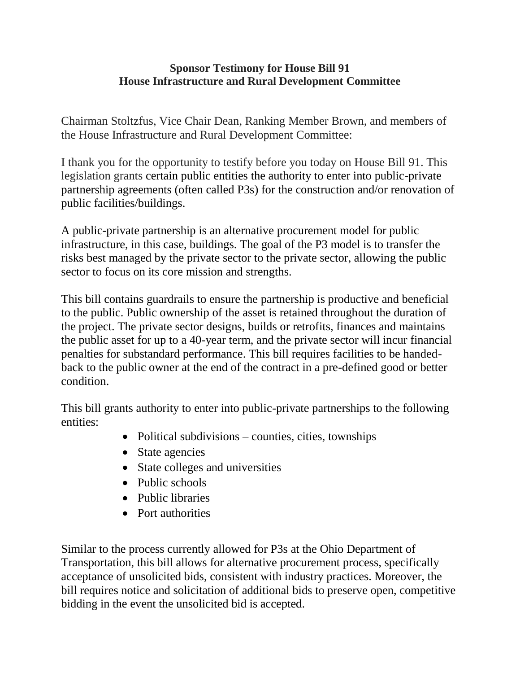## **Sponsor Testimony for House Bill 91 House Infrastructure and Rural Development Committee**

Chairman Stoltzfus, Vice Chair Dean, Ranking Member Brown, and members of the House Infrastructure and Rural Development Committee:

I thank you for the opportunity to testify before you today on House Bill 91. This legislation grants certain public entities the authority to enter into public-private partnership agreements (often called P3s) for the construction and/or renovation of public facilities/buildings.

A public-private partnership is an alternative procurement model for public infrastructure, in this case, buildings. The goal of the P3 model is to transfer the risks best managed by the private sector to the private sector, allowing the public sector to focus on its core mission and strengths.

This bill contains guardrails to ensure the partnership is productive and beneficial to the public. Public ownership of the asset is retained throughout the duration of the project. The private sector designs, builds or retrofits, finances and maintains the public asset for up to a 40-year term, and the private sector will incur financial penalties for substandard performance. This bill requires facilities to be handedback to the public owner at the end of the contract in a pre-defined good or better condition.

This bill grants authority to enter into public-private partnerships to the following entities:

- $\bullet$  Political subdivisions counties, cities, townships
- State agencies
- State colleges and universities
- Public schools
- Public libraries
- Port authorities

Similar to the process currently allowed for P3s at the Ohio Department of Transportation, this bill allows for alternative procurement process, specifically acceptance of unsolicited bids, consistent with industry practices. Moreover, the bill requires notice and solicitation of additional bids to preserve open, competitive bidding in the event the unsolicited bid is accepted.